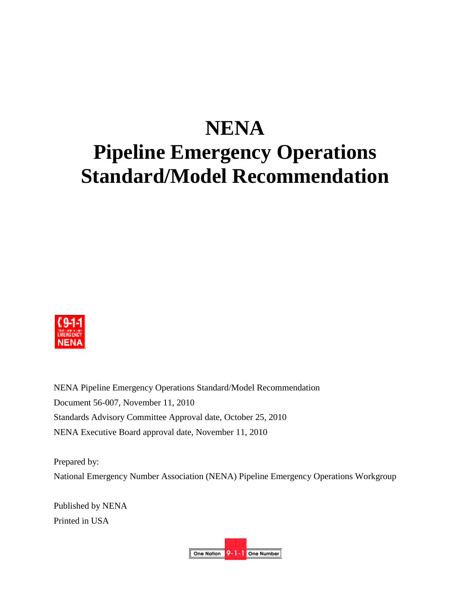# **NENA Pipeline Emergency Operations Standard/Model Recommendation**



NENA Pipeline Emergency Operations Standard/Model Recommendation Document 56-007, November 11, 2010 Standards Advisory Committee Approval date, October 25, 2010 NENA Executive Board approval date, November 11, 2010

Prepared by: National Emergency Number Association (NENA) Pipeline Emergency Operations Workgroup

Published by NENA Printed in USA

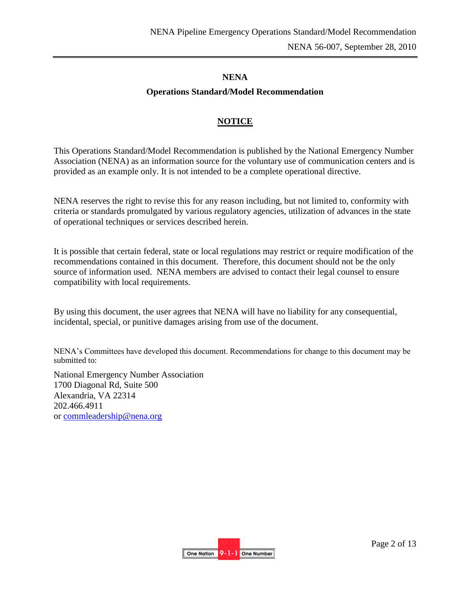#### **NENA**

## **Operations Standard/Model Recommendation**

### **NOTICE**

This Operations Standard/Model Recommendation is published by the National Emergency Number Association (NENA) as an information source for the voluntary use of communication centers and is provided as an example only. It is not intended to be a complete operational directive.

NENA reserves the right to revise this for any reason including, but not limited to, conformity with criteria or standards promulgated by various regulatory agencies, utilization of advances in the state of operational techniques or services described herein.

It is possible that certain federal, state or local regulations may restrict or require modification of the recommendations contained in this document. Therefore, this document should not be the only source of information used. NENA members are advised to contact their legal counsel to ensure compatibility with local requirements.

By using this document, the user agrees that NENA will have no liability for any consequential, incidental, special, or punitive damages arising from use of the document.

NENA's Committees have developed this document. Recommendations for change to this document may be submitted to:

National Emergency Number Association 1700 Diagonal Rd, Suite 500 Alexandria, VA 22314 202.466.4911 or [commleadership@nena.org](mailto:commleadership@nena.org)

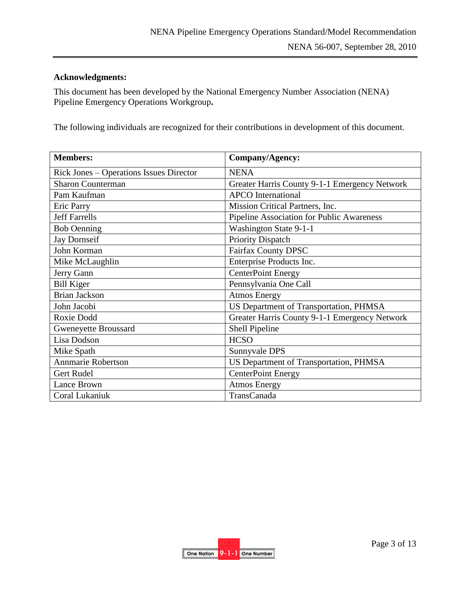## **Acknowledgments:**

This document has been developed by the National Emergency Number Association (NENA) Pipeline Emergency Operations Workgroup**.** 

The following individuals are recognized for their contributions in development of this document.

| <b>Members:</b>                                | Company/Agency:                               |
|------------------------------------------------|-----------------------------------------------|
| <b>Rick Jones – Operations Issues Director</b> | <b>NENA</b>                                   |
| <b>Sharon Counterman</b>                       | Greater Harris County 9-1-1 Emergency Network |
| Pam Kaufman                                    | <b>APCO</b> International                     |
| <b>Eric Parry</b>                              | Mission Critical Partners, Inc.               |
| <b>Jeff Farrells</b>                           | Pipeline Association for Public Awareness     |
| <b>Bob Oenning</b>                             | Washington State 9-1-1                        |
| <b>Jay Dornseif</b>                            | <b>Priority Dispatch</b>                      |
| John Korman                                    | Fairfax County DPSC                           |
| Mike McLaughlin                                | Enterprise Products Inc.                      |
| Jerry Gann                                     | <b>CenterPoint Energy</b>                     |
| <b>Bill Kiger</b>                              | Pennsylvania One Call                         |
| <b>Brian Jackson</b>                           | <b>Atmos Energy</b>                           |
| John Jacobi                                    | US Department of Transportation, PHMSA        |
| Roxie Dodd                                     | Greater Harris County 9-1-1 Emergency Network |
| <b>Gweneyette Broussard</b>                    | Shell Pipeline                                |
| Lisa Dodson                                    | <b>HCSO</b>                                   |
| Mike Spath                                     | Sunnyvale DPS                                 |
| Annmarie Robertson                             | US Department of Transportation, PHMSA        |
| Gert Rudel                                     | <b>CenterPoint Energy</b>                     |
| Lance Brown                                    | <b>Atmos Energy</b>                           |
| Coral Lukaniuk                                 | TransCanada                                   |

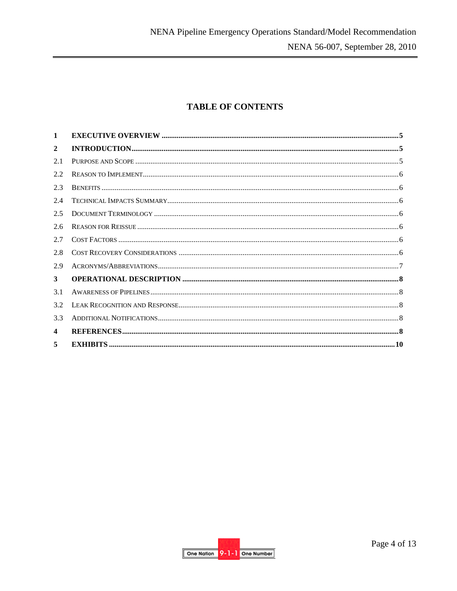# **TABLE OF CONTENTS**

| $\mathbf{1}$            |  |
|-------------------------|--|
| $\overline{2}$          |  |
| 2.1                     |  |
| 2.2                     |  |
| 2.3                     |  |
| 2.4                     |  |
| 2.5                     |  |
| 2.6                     |  |
| 2.7                     |  |
| 2.8                     |  |
| 2.9                     |  |
| 3                       |  |
| 3.1                     |  |
| 3.2                     |  |
| 3.3                     |  |
| $\overline{\mathbf{4}}$ |  |
| 5                       |  |

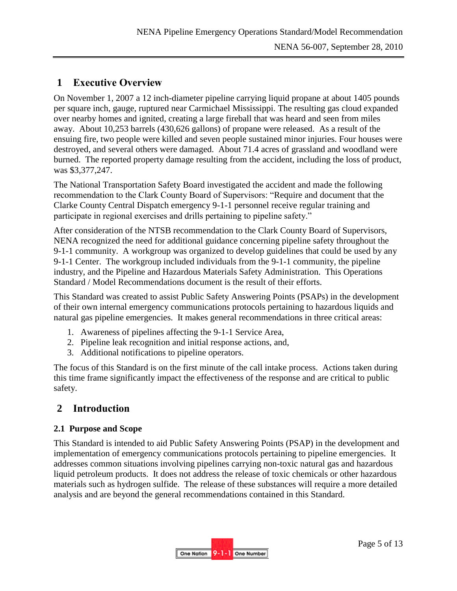# <span id="page-4-0"></span>**1 Executive Overview**

On November 1, 2007 a 12 inch-diameter pipeline carrying liquid propane at about 1405 pounds per square inch, gauge, ruptured near Carmichael Mississippi. The resulting gas cloud expanded over nearby homes and ignited, creating a large fireball that was heard and seen from miles away. About 10,253 barrels (430,626 gallons) of propane were released. As a result of the ensuing fire, two people were killed and seven people sustained minor injuries. Four houses were destroyed, and several others were damaged. About 71.4 acres of grassland and woodland were burned. The reported property damage resulting from the accident, including the loss of product, was \$3,377,247.

The National Transportation Safety Board investigated the accident and made the following recommendation to the Clark County Board of Supervisors: "Require and document that the Clarke County Central Dispatch emergency 9-1-1 personnel receive regular training and participate in regional exercises and drills pertaining to pipeline safety."

After consideration of the NTSB recommendation to the Clark County Board of Supervisors, NENA recognized the need for additional guidance concerning pipeline safety throughout the 9-1-1 community. A workgroup was organized to develop guidelines that could be used by any 9-1-1 Center. The workgroup included individuals from the 9-1-1 community, the pipeline industry, and the Pipeline and Hazardous Materials Safety Administration. This Operations Standard / Model Recommendations document is the result of their efforts.

This Standard was created to assist Public Safety Answering Points (PSAPs) in the development of their own internal emergency communications protocols pertaining to hazardous liquids and natural gas pipeline emergencies. It makes general recommendations in three critical areas:

- 1. Awareness of pipelines affecting the 9-1-1 Service Area,
- 2. Pipeline leak recognition and initial response actions, and,
- 3. Additional notifications to pipeline operators.

The focus of this Standard is on the first minute of the call intake process. Actions taken during this time frame significantly impact the effectiveness of the response and are critical to public safety.

# <span id="page-4-1"></span>**2 Introduction**

#### <span id="page-4-2"></span>**2.1 Purpose and Scope**

This Standard is intended to aid Public Safety Answering Points (PSAP) in the development and implementation of emergency communications protocols pertaining to pipeline emergencies. It addresses common situations involving pipelines carrying non-toxic natural gas and hazardous liquid petroleum products. It does not address the release of toxic chemicals or other hazardous materials such as hydrogen sulfide. The release of these substances will require a more detailed analysis and are beyond the general recommendations contained in this Standard.

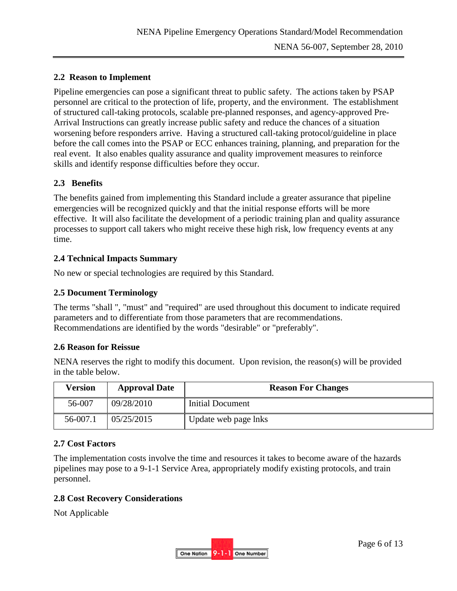## <span id="page-5-0"></span>**2.2 Reason to Implement**

Pipeline emergencies can pose a significant threat to public safety. The actions taken by PSAP personnel are critical to the protection of life, property, and the environment. The establishment of structured call-taking protocols, scalable pre-planned responses, and agency-approved Pre-Arrival Instructions can greatly increase public safety and reduce the chances of a situation worsening before responders arrive. Having a structured call-taking protocol/guideline in place before the call comes into the PSAP or ECC enhances training, planning, and preparation for the real event. It also enables quality assurance and quality improvement measures to reinforce skills and identify response difficulties before they occur.

#### <span id="page-5-1"></span>**2.3 Benefits**

The benefits gained from implementing this Standard include a greater assurance that pipeline emergencies will be recognized quickly and that the initial response efforts will be more effective. It will also facilitate the development of a periodic training plan and quality assurance processes to support call takers who might receive these high risk, low frequency events at any time.

#### <span id="page-5-2"></span>**2.4 Technical Impacts Summary**

No new or special technologies are required by this Standard.

#### <span id="page-5-3"></span>**2.5 Document Terminology**

The terms "shall ", "must" and "required" are used throughout this document to indicate required parameters and to differentiate from those parameters that are recommendations. Recommendations are identified by the words "desirable" or "preferably".

#### <span id="page-5-4"></span>**2.6 Reason for Reissue**

NENA reserves the right to modify this document. Upon revision, the reason(s) will be provided in the table below.

| Version  | <b>Approval Date</b> | <b>Reason For Changes</b> |  |
|----------|----------------------|---------------------------|--|
| 56-007   | 09/28/2010           | Initial Document          |  |
| 56-007.1 | 05/25/2015           | Update web page lnks      |  |

#### <span id="page-5-5"></span>**2.7 Cost Factors**

The implementation costs involve the time and resources it takes to become aware of the hazards pipelines may pose to a 9-1-1 Service Area, appropriately modify existing protocols, and train personnel.

#### <span id="page-5-6"></span>**2.8 Cost Recovery Considerations**

Not Applicable

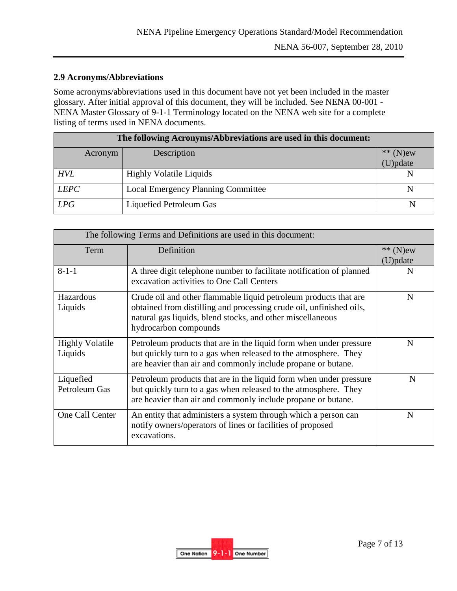### <span id="page-6-0"></span>**2.9 Acronyms/Abbreviations**

Some acronyms/abbreviations used in this document have not yet been included in the master glossary. After initial approval of this document, they will be included. See NENA 00-001 - NENA Master Glossary of 9-1-1 Terminology located on the NENA web site for a complete listing of terms used in NENA documents.

| The following Acronyms/Abbreviations are used in this document: |                                           |            |  |
|-----------------------------------------------------------------|-------------------------------------------|------------|--|
| Acronym                                                         | Description                               | $**$ (N)ew |  |
|                                                                 |                                           | (U)pdate   |  |
| <b>HVL</b>                                                      | <b>Highly Volatile Liquids</b>            |            |  |
| <b>LEPC</b>                                                     | <b>Local Emergency Planning Committee</b> |            |  |
| LPG                                                             | Liquefied Petroleum Gas                   |            |  |

| The following Terms and Definitions are used in this document: |                                                                                                                                                                                                                                |          |  |
|----------------------------------------------------------------|--------------------------------------------------------------------------------------------------------------------------------------------------------------------------------------------------------------------------------|----------|--|
| Definition<br>Term                                             |                                                                                                                                                                                                                                | ** (N)ew |  |
|                                                                |                                                                                                                                                                                                                                | (U)pdate |  |
| $8 - 1 - 1$                                                    | A three digit telephone number to facilitate notification of planned<br>excavation activities to One Call Centers                                                                                                              | N        |  |
| Hazardous<br>Liquids                                           | Crude oil and other flammable liquid petroleum products that are<br>obtained from distilling and processing crude oil, unfinished oils,<br>natural gas liquids, blend stocks, and other miscellaneous<br>hydrocarbon compounds | N        |  |
| <b>Highly Volatile</b><br>Liquids                              | Petroleum products that are in the liquid form when under pressure<br>but quickly turn to a gas when released to the atmosphere. They<br>are heavier than air and commonly include propane or butane.                          | N        |  |
| Liquefied<br>Petroleum Gas                                     | Petroleum products that are in the liquid form when under pressure<br>but quickly turn to a gas when released to the atmosphere. They<br>are heavier than air and commonly include propane or butane.                          | N        |  |
| One Call Center                                                | An entity that administers a system through which a person can<br>notify owners/operators of lines or facilities of proposed<br>excavations.                                                                                   | N        |  |

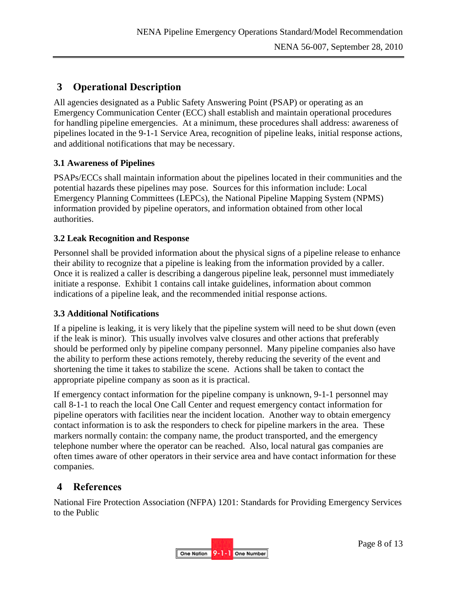# <span id="page-7-0"></span>**3 Operational Description**

All agencies designated as a Public Safety Answering Point (PSAP) or operating as an Emergency Communication Center (ECC) shall establish and maintain operational procedures for handling pipeline emergencies. At a minimum, these procedures shall address: awareness of pipelines located in the 9-1-1 Service Area, recognition of pipeline leaks, initial response actions, and additional notifications that may be necessary.

# <span id="page-7-1"></span>**3.1 Awareness of Pipelines**

PSAPs/ECCs shall maintain information about the pipelines located in their communities and the potential hazards these pipelines may pose. Sources for this information include: Local Emergency Planning Committees (LEPCs), the National Pipeline Mapping System (NPMS) information provided by pipeline operators, and information obtained from other local authorities.

# <span id="page-7-2"></span>**3.2 Leak Recognition and Response**

Personnel shall be provided information about the physical signs of a pipeline release to enhance their ability to recognize that a pipeline is leaking from the information provided by a caller. Once it is realized a caller is describing a dangerous pipeline leak, personnel must immediately initiate a response. Exhibit 1 contains call intake guidelines, information about common indications of a pipeline leak, and the recommended initial response actions.

# <span id="page-7-3"></span>**3.3 Additional Notifications**

If a pipeline is leaking, it is very likely that the pipeline system will need to be shut down (even if the leak is minor). This usually involves valve closures and other actions that preferably should be performed only by pipeline company personnel. Many pipeline companies also have the ability to perform these actions remotely, thereby reducing the severity of the event and shortening the time it takes to stabilize the scene. Actions shall be taken to contact the appropriate pipeline company as soon as it is practical.

If emergency contact information for the pipeline company is unknown, 9-1-1 personnel may call 8-1-1 to reach the local One Call Center and request emergency contact information for pipeline operators with facilities near the incident location. Another way to obtain emergency contact information is to ask the responders to check for pipeline markers in the area. These markers normally contain: the company name, the product transported, and the emergency telephone number where the operator can be reached. Also, local natural gas companies are often times aware of other operators in their service area and have contact information for these companies.

# <span id="page-7-4"></span>**4 References**

National Fire Protection Association (NFPA) 1201: Standards for Providing Emergency Services to the Public

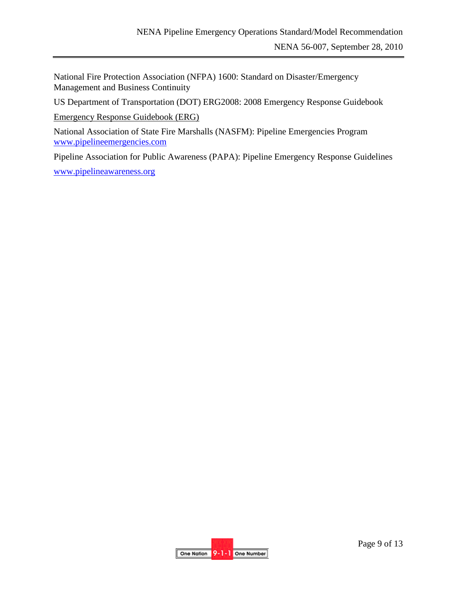National Fire Protection Association (NFPA) 1600: Standard on Disaster/Emergency Management and Business Continuity

US Department of Transportation (DOT) ERG2008: 2008 Emergency Response Guidebook

[Emergency Response Guidebook \(ERG\)](http://www.phmsa.dot.gov/portal/site/PHMSA/menuitem.ebdc7a8a7e39f2e55cf2031050248a0c/?vgnextoid=ebfeca57e196d110VgnVCM1000009ed07898RCRD&vgnextchannel=c8e71dec94973110VgnVCM1000009ed07898RCRD&vgnextfmt=print)

National Association of State Fire Marshalls (NASFM): Pipeline Emergencies Program [www.pipelineemergencies.com](http://www.pipelineemergencies.com/)

Pipeline Association for Public Awareness (PAPA): Pipeline Emergency Response Guidelines [www.pipelineawareness.org](http://www.pipelineawareness.org/)

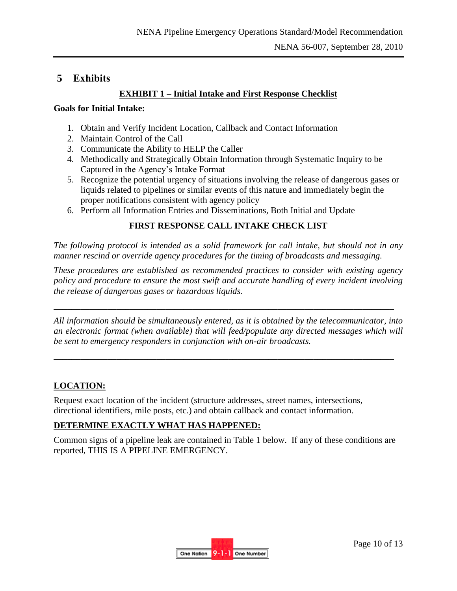# <span id="page-9-0"></span>**5 Exhibits**

# **EXHIBIT 1 – Initial Intake and First Response Checklist**

### **Goals for Initial Intake:**

- 1. Obtain and Verify Incident Location, Callback and Contact Information
- 2. Maintain Control of the Call
- 3. Communicate the Ability to HELP the Caller
- 4. Methodically and Strategically Obtain Information through Systematic Inquiry to be Captured in the Agency's Intake Format
- 5. Recognize the potential urgency of situations involving the release of dangerous gases or liquids related to pipelines or similar events of this nature and immediately begin the proper notifications consistent with agency policy
- 6. Perform all Information Entries and Disseminations, Both Initial and Update

# **FIRST RESPONSE CALL INTAKE CHECK LIST**

*The following protocol is intended as a solid framework for call intake, but should not in any manner rescind or override agency procedures for the timing of broadcasts and messaging.* 

*These procedures are established as recommended practices to consider with existing agency policy and procedure to ensure the most swift and accurate handling of every incident involving the release of dangerous gases or hazardous liquids.* 

*All information should be simultaneously entered, as it is obtained by the telecommunicator, into an electronic format (when available) that will feed/populate any directed messages which will be sent to emergency responders in conjunction with on-air broadcasts.* 

\_\_\_\_\_\_\_\_\_\_\_\_\_\_\_\_\_\_\_\_\_\_\_\_\_\_\_\_\_\_\_\_\_\_\_\_\_\_\_\_\_\_\_\_\_\_\_\_\_\_\_\_\_\_\_\_\_\_\_\_\_\_\_\_\_\_\_\_\_\_\_\_\_\_\_\_

\_\_\_\_\_\_\_\_\_\_\_\_\_\_\_\_\_\_\_\_\_\_\_\_\_\_\_\_\_\_\_\_\_\_\_\_\_\_\_\_\_\_\_\_\_\_\_\_\_\_\_\_\_\_\_\_\_\_\_\_\_\_\_\_\_\_\_\_\_\_\_\_\_\_\_\_

# **LOCATION:**

Request exact location of the incident (structure addresses, street names, intersections, directional identifiers, mile posts, etc.) and obtain callback and contact information.

# **DETERMINE EXACTLY WHAT HAS HAPPENED:**

Common signs of a pipeline leak are contained in Table 1 below. If any of these conditions are reported, THIS IS A PIPELINE EMERGENCY.

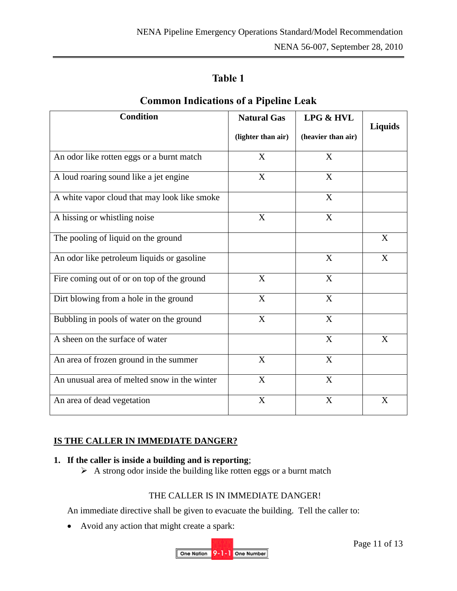# **Table 1**

| <b>Condition</b>                             | <b>Natural Gas</b>        | <b>LPG &amp; HVL</b>      |                |  |
|----------------------------------------------|---------------------------|---------------------------|----------------|--|
|                                              | (lighter than air)        | (heavier than air)        | <b>Liquids</b> |  |
| An odor like rotten eggs or a burnt match    | X                         | X                         |                |  |
| A loud roaring sound like a jet engine       | $\mathbf X$               | $\mathbf X$               |                |  |
| A white vapor cloud that may look like smoke |                           | X                         |                |  |
| A hissing or whistling noise                 | $\boldsymbol{\mathrm{X}}$ | $\mathbf X$               |                |  |
| The pooling of liquid on the ground          |                           |                           | X              |  |
| An odor like petroleum liquids or gasoline   |                           | X                         | X              |  |
| Fire coming out of or on top of the ground   | X                         | X                         |                |  |
| Dirt blowing from a hole in the ground       | $\boldsymbol{\mathrm{X}}$ | X                         |                |  |
| Bubbling in pools of water on the ground     | X                         | X                         |                |  |
| A sheen on the surface of water              |                           | $\boldsymbol{\mathrm{X}}$ | X              |  |
| An area of frozen ground in the summer       | X                         | X                         |                |  |
| An unusual area of melted snow in the winter | X                         | X                         |                |  |
| An area of dead vegetation                   | X                         | X                         | X              |  |

# **Common Indications of a Pipeline Leak**

# **IS THE CALLER IN IMMEDIATE DANGER?**

### **1. If the caller is inside a building and is reporting**;

 $\triangleright$  A strong odor inside the building like rotten eggs or a burnt match

#### THE CALLER IS IN IMMEDIATE DANGER!

An immediate directive shall be given to evacuate the building. Tell the caller to:

Avoid any action that might create a spark:

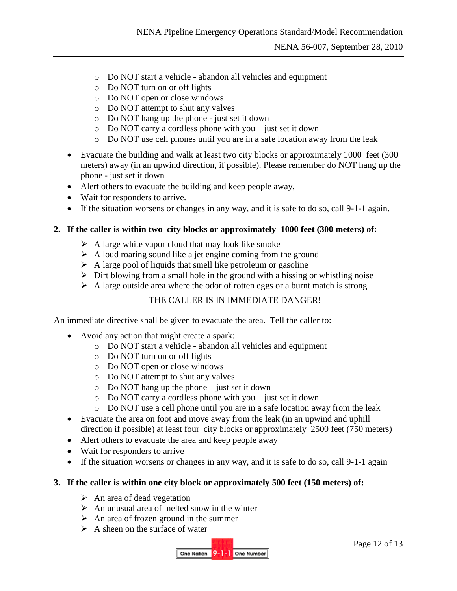- o Do NOT start a vehicle abandon all vehicles and equipment
- o Do NOT turn on or off lights
- o Do NOT open or close windows
- o Do NOT attempt to shut any valves
- o Do NOT hang up the phone just set it down
- o Do NOT carry a cordless phone with you just set it down
- o Do NOT use cell phones until you are in a safe location away from the leak
- Evacuate the building and walk at least two city blocks or approximately 1000 feet (300 meters) away (in an upwind direction, if possible). Please remember do NOT hang up the phone - just set it down
- Alert others to evacuate the building and keep people away,
- Wait for responders to arrive.
- If the situation worsens or changes in any way, and it is safe to do so, call 9-1-1 again.

## **2. If the caller is within two city blocks or approximately 1000 feet (300 meters) of:**

- $\triangleright$  A large white vapor cloud that may look like smoke
- $\triangleright$  A loud roaring sound like a jet engine coming from the ground
- $\triangleright$  A large pool of liquids that smell like petroleum or gasoline
- $\triangleright$  Dirt blowing from a small hole in the ground with a hissing or whistling noise
- $\triangleright$  A large outside area where the odor of rotten eggs or a burnt match is strong

# THE CALLER IS IN IMMEDIATE DANGER!

An immediate directive shall be given to evacuate the area. Tell the caller to:

- Avoid any action that might create a spark:
	- o Do NOT start a vehicle abandon all vehicles and equipment
	- o Do NOT turn on or off lights
	- o Do NOT open or close windows
	- o Do NOT attempt to shut any valves
	- o Do NOT hang up the phone just set it down
	- o Do NOT carry a cordless phone with you just set it down
	- o Do NOT use a cell phone until you are in a safe location away from the leak
- Evacuate the area on foot and move away from the leak (in an upwind and uphill direction if possible) at least four city blocks or approximately 2500 feet (750 meters)
- Alert others to evacuate the area and keep people away
- Wait for responders to arrive
- If the situation worsens or changes in any way, and it is safe to do so, call 9-1-1 again

#### **3. If the caller is within one city block or approximately 500 feet (150 meters) of:**

- $\triangleright$  An area of dead vegetation
- $\triangleright$  An unusual area of melted snow in the winter
- $\triangleright$  An area of frozen ground in the summer
- $\triangleright$  A sheen on the surface of water